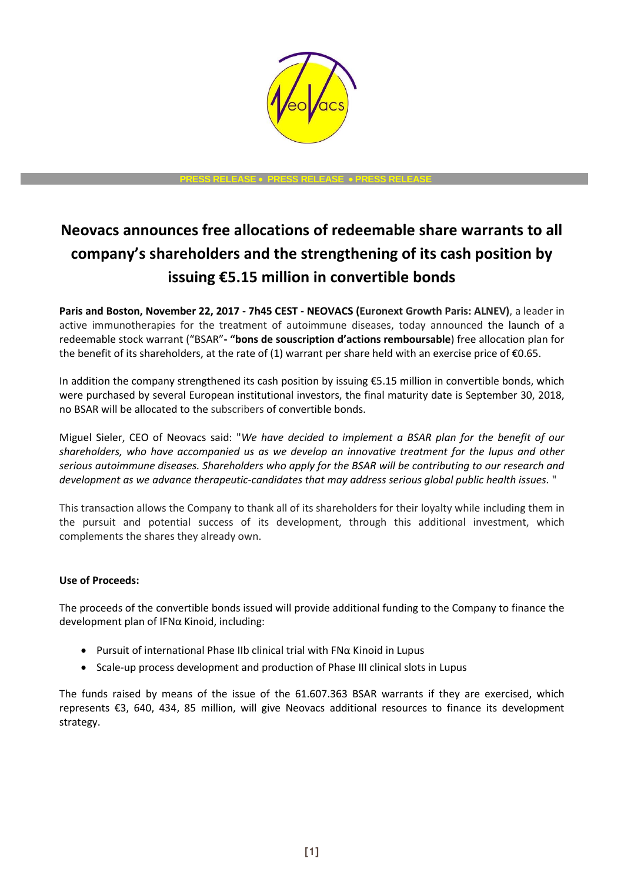

**PRESS RELEASE PRESS RELEASE PRESS RELEASE**

# **Neovacs announces free allocations of redeemable share warrants to all company's shareholders and the strengthening of its cash position by issuing €5.15 million in convertible bonds**

**Paris and Boston, November 22, 2017 - 7h45 CEST - NEOVACS (Euronext Growth Paris: ALNEV)**, a leader in active immunotherapies for the treatment of autoimmune diseases, today announced the launch of a redeemable stock warrant ("BSAR"**- "bons de souscription d'actions remboursable**) free allocation plan for the benefit of its shareholders, at the rate of (1) warrant per share held with an exercise price of  $\epsilon$ 0.65.

In addition the company strengthened its cash position by issuing €5.15 million in convertible bonds, which were purchased by several European institutional investors, the final maturity date is September 30, 2018, no BSAR will be allocated to the subscribers of convertible bonds.

Miguel Sieler, CEO of Neovacs said: "*We have decided to implement a BSAR plan for the benefit of our shareholders, who have accompanied us as we develop an innovative treatment for the lupus and other serious autoimmune diseases. Shareholders who apply for the BSAR will be contributing to our research and development as we advance therapeutic-candidates that may address serious global public health issues.* "

This transaction allows the Company to thank all of its shareholders for their loyalty while including them in the pursuit and potential success of its development, through this additional investment, which complements the shares they already own.

## **Use of Proceeds:**

The proceeds of the convertible bonds issued will provide additional funding to the Company to finance the development plan of IFNα Kinoid, including:

- Pursuit of international Phase IIb clinical trial with FNα Kinoid in Lupus
- Scale-up process development and production of Phase III clinical slots in Lupus

The funds raised by means of the issue of the 61.607.363 BSAR warrants if they are exercised, which represents €3, 640, 434, 85 million, will give Neovacs additional resources to finance its development strategy.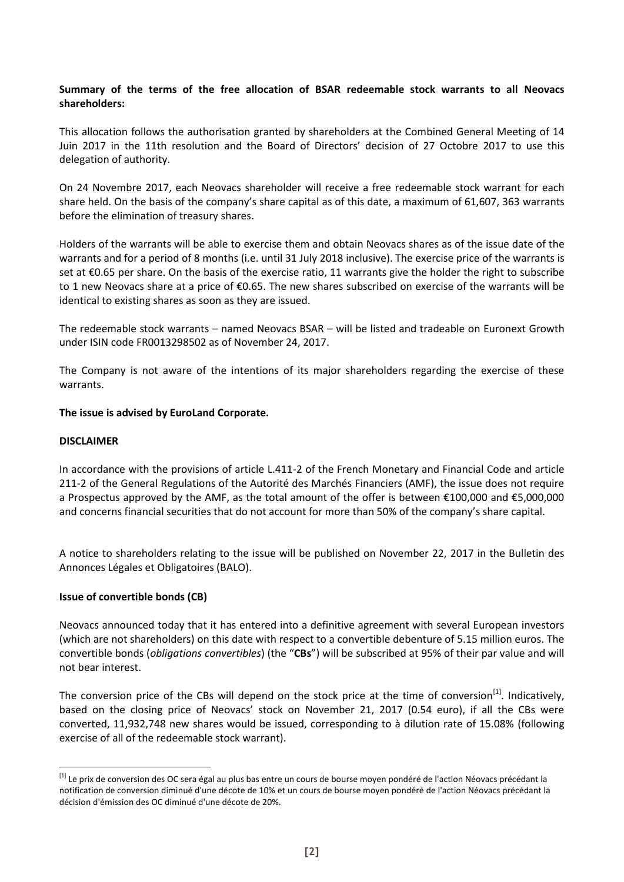### **Summary of the terms of the free allocation of BSAR redeemable stock warrants to all Neovacs shareholders:**

This allocation follows the authorisation granted by shareholders at the Combined General Meeting of 14 Juin 2017 in the 11th resolution and the Board of Directors' decision of 27 Octobre 2017 to use this delegation of authority.

On 24 Novembre 2017, each Neovacs shareholder will receive a free redeemable stock warrant for each share held. On the basis of the company's share capital as of this date, a maximum of 61,607, 363 warrants before the elimination of treasury shares.

Holders of the warrants will be able to exercise them and obtain Neovacs shares as of the issue date of the warrants and for a period of 8 months (i.e. until 31 July 2018 inclusive). The exercise price of the warrants is set at €0.65 per share. On the basis of the exercise ratio, 11 warrants give the holder the right to subscribe to 1 new Neovacs share at a price of €0.65. The new shares subscribed on exercise of the warrants will be identical to existing shares as soon as they are issued.

The redeemable stock warrants – named Neovacs BSAR – will be listed and tradeable on Euronext Growth under ISIN code FR0013298502 as of November 24, 2017.

The Company is not aware of the intentions of its major shareholders regarding the exercise of these warrants.

### **The issue is advised by EuroLand Corporate.**

#### **DISCLAIMER**

1

In accordance with the provisions of article L.411-2 of the French Monetary and Financial Code and article 211-2 of the General Regulations of the Autorité des Marchés Financiers (AMF), the issue does not require a Prospectus approved by the AMF, as the total amount of the offer is between €100,000 and €5,000,000 and concerns financial securities that do not account for more than 50% of the company's share capital.

A notice to shareholders relating to the issue will be published on November 22, 2017 in the Bulletin des Annonces Légales et Obligatoires (BALO).

### **Issue of convertible bonds (CB)**

Neovacs announced today that it has entered into a definitive agreement with several European investors (which are not shareholders) on this date with respect to a convertible debenture of 5.15 million euros. The convertible bonds (*obligations convertibles*) (the "**CBs**") will be subscribed at 95% of their par value and will not bear interest.

The conversion price of the CBs will depend on the stock price at the time of conversion<sup>[1]</sup>. Indicatively, based on the closing price of Neovacs' stock on November 21, 2017 (0.54 euro), if all the CBs were converted, 11,932,748 new shares would be issued, corresponding to à dilution rate of 15.08% (following exercise of all of the redeemable stock warrant).

<sup>&</sup>lt;sup>[1]</sup> Le prix de conversion des OC sera égal au plus bas entre un cours de bourse moyen pondéré de l'action Néovacs précédant la notification de conversion diminué d'une décote de 10% et un cours de bourse moyen pondéré de l'action Néovacs précédant la décision d'émission des OC diminué d'une décote de 20%.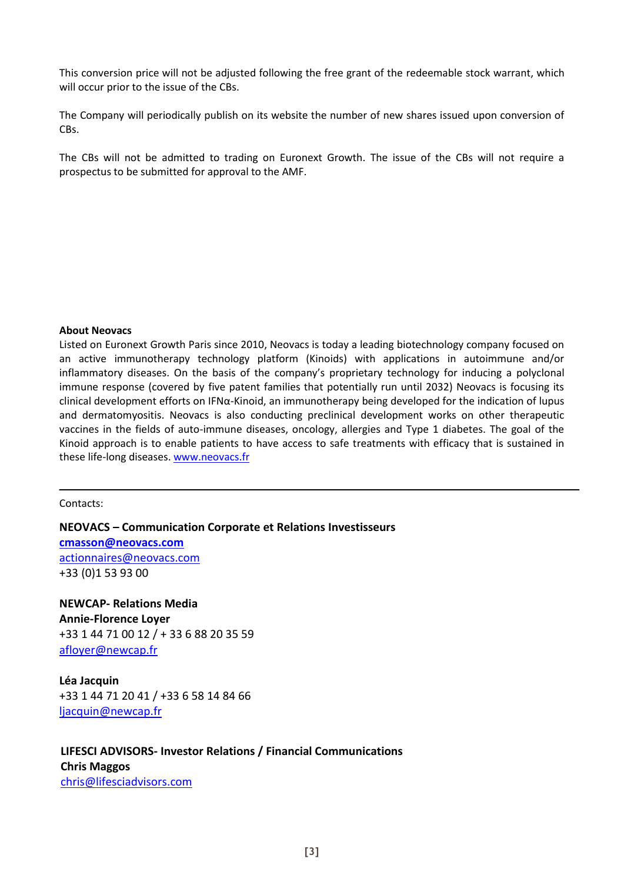This conversion price will not be adjusted following the free grant of the redeemable stock warrant, which will occur prior to the issue of the CBs.

The Company will periodically publish on its website the number of new shares issued upon conversion of CBs.

The CBs will not be admitted to trading on Euronext Growth. The issue of the CBs will not require a prospectus to be submitted for approval to the AMF.

### **About Neovacs**

Listed on Euronext Growth Paris since 2010, Neovacs is today a leading biotechnology company focused on an active immunotherapy technology platform (Kinoids) with applications in autoimmune and/or inflammatory diseases. On the basis of the company's proprietary technology for inducing a polyclonal immune response (covered by five patent families that potentially run until 2032) Neovacs is focusing its clinical development efforts on IFN $\alpha$ -Kinoid, an immunotherapy being developed for the indication of lupus and dermatomyositis. Neovacs is also conducting preclinical development works on other therapeutic vaccines in the fields of auto-immune diseases, oncology, allergies and Type 1 diabetes. The goal of the Kinoid approach is to enable patients to have access to safe treatments with efficacy that is sustained in these life-long diseases[. www.neovacs.fr](http://www.neovacs.fr/)

Contacts:

**NEOVACS – Communication Corporate et Relations Investisseurs [cmasson@neovacs.com](mailto:cmasson@neovacs.com)** [actionnaires@neovacs.com](mailto:actionnaires@neovacs.com) +33 (0)1 53 93 00

**NEWCAP- Relations Media Annie-Florence Loyer**  +33 1 44 71 00 12 / + 33 6 88 20 35 59 [afloyer@newcap.fr](mailto:afloyer@newcap.fr)

**Léa Jacquin**  +33 1 44 71 20 41 / +33 6 58 14 84 66 [ljacquin@newcap.fr](mailto:ljacquin@newcap.fr)

# **LIFESCI ADVISORS- Investor Relations / Financial Communications Chris Maggos**  [chris@lifesciadvisors.com](mailto:chris@lifesciadvisors.com)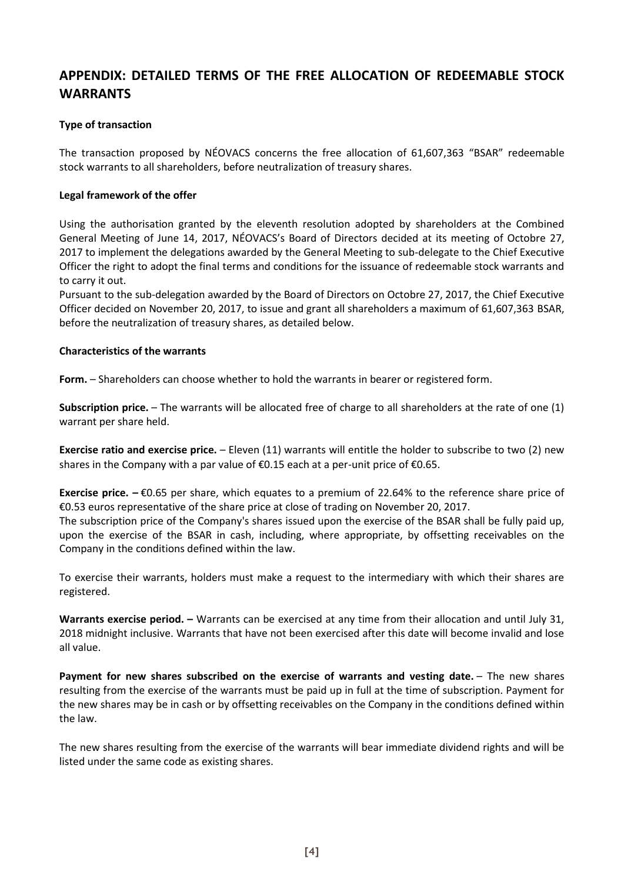# **APPENDIX: DETAILED TERMS OF THE FREE ALLOCATION OF REDEEMABLE STOCK WARRANTS**

### **Type of transaction**

The transaction proposed by NÉOVACS concerns the free allocation of 61,607,363 "BSAR" redeemable stock warrants to all shareholders, before neutralization of treasury shares.

### **Legal framework of the offer**

Using the authorisation granted by the eleventh resolution adopted by shareholders at the Combined General Meeting of June 14, 2017, NÉOVACS's Board of Directors decided at its meeting of Octobre 27, 2017 to implement the delegations awarded by the General Meeting to sub-delegate to the Chief Executive Officer the right to adopt the final terms and conditions for the issuance of redeemable stock warrants and to carry it out.

Pursuant to the sub-delegation awarded by the Board of Directors on Octobre 27, 2017, the Chief Executive Officer decided on November 20, 2017, to issue and grant all shareholders a maximum of 61,607,363 BSAR, before the neutralization of treasury shares, as detailed below.

### **Characteristics of the warrants**

**Form.** – Shareholders can choose whether to hold the warrants in bearer or registered form.

**Subscription price.** – The warrants will be allocated free of charge to all shareholders at the rate of one (1) warrant per share held.

**Exercise ratio and exercise price.** – Eleven (11) warrants will entitle the holder to subscribe to two (2) new shares in the Company with a par value of  $\epsilon$ 0.15 each at a per-unit price of  $\epsilon$ 0.65.

**Exercise price. –** €0.65 per share, which equates to a premium of 22.64% to the reference share price of €0.53 euros representative of the share price at close of trading on November 20, 2017.

The subscription price of the Company's shares issued upon the exercise of the BSAR shall be fully paid up, upon the exercise of the BSAR in cash, including, where appropriate, by offsetting receivables on the Company in the conditions defined within the law.

To exercise their warrants, holders must make a request to the intermediary with which their shares are registered.

**Warrants exercise period. –** Warrants can be exercised at any time from their allocation and until July 31, 2018 midnight inclusive. Warrants that have not been exercised after this date will become invalid and lose all value.

**Payment for new shares subscribed on the exercise of warrants and vesting date.** – The new shares resulting from the exercise of the warrants must be paid up in full at the time of subscription. Payment for the new shares may be in cash or by offsetting receivables on the Company in the conditions defined within the law.

The new shares resulting from the exercise of the warrants will bear immediate dividend rights and will be listed under the same code as existing shares.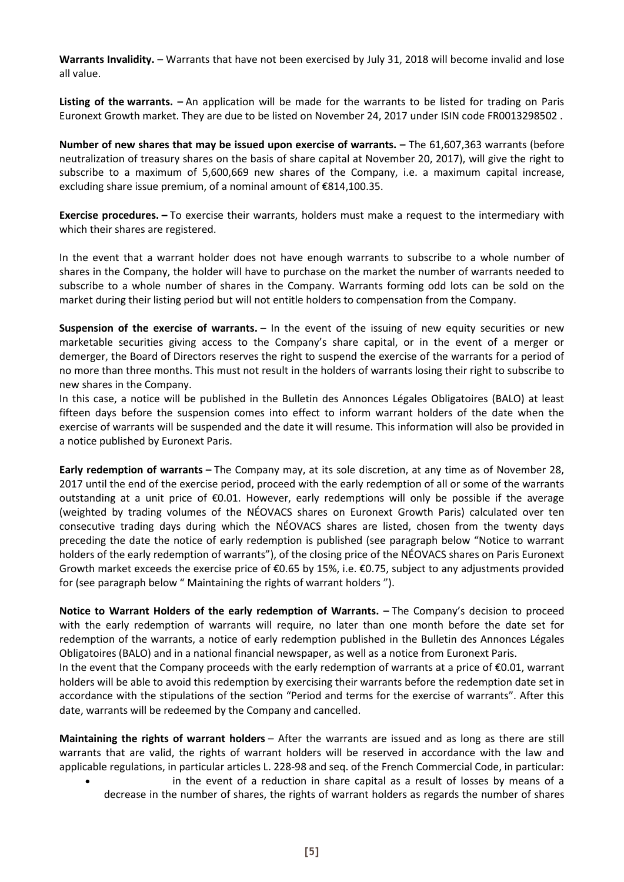**Warrants Invalidity.** – Warrants that have not been exercised by July 31, 2018 will become invalid and lose all value.

**Listing of the warrants. –** An application will be made for the warrants to be listed for trading on Paris Euronext Growth market. They are due to be listed on November 24, 2017 under ISIN code FR0013298502 .

**Number of new shares that may be issued upon exercise of warrants. –** The 61,607,363 warrants (before neutralization of treasury shares on the basis of share capital at November 20, 2017), will give the right to subscribe to a maximum of 5,600,669 new shares of the Company, i.e. a maximum capital increase, excluding share issue premium, of a nominal amount of €814,100.35.

**Exercise procedures. –** To exercise their warrants, holders must make a request to the intermediary with which their shares are registered.

In the event that a warrant holder does not have enough warrants to subscribe to a whole number of shares in the Company, the holder will have to purchase on the market the number of warrants needed to subscribe to a whole number of shares in the Company. Warrants forming odd lots can be sold on the market during their listing period but will not entitle holders to compensation from the Company.

**Suspension of the exercise of warrants.** – In the event of the issuing of new equity securities or new marketable securities giving access to the Company's share capital, or in the event of a merger or demerger, the Board of Directors reserves the right to suspend the exercise of the warrants for a period of no more than three months. This must not result in the holders of warrants losing their right to subscribe to new shares in the Company.

In this case, a notice will be published in the Bulletin des Annonces Légales Obligatoires (BALO) at least fifteen days before the suspension comes into effect to inform warrant holders of the date when the exercise of warrants will be suspended and the date it will resume. This information will also be provided in a notice published by Euronext Paris.

**Early redemption of warrants –** The Company may, at its sole discretion, at any time as of November 28, 2017 until the end of the exercise period, proceed with the early redemption of all or some of the warrants outstanding at a unit price of €0.01. However, early redemptions will only be possible if the average (weighted by trading volumes of the NÉOVACS shares on Euronext Growth Paris) calculated over ten consecutive trading days during which the NÉOVACS shares are listed, chosen from the twenty days preceding the date the notice of early redemption is published (see paragraph below "Notice to warrant holders of the early redemption of warrants"), of the closing price of the NÉOVACS shares on Paris Euronext Growth market exceeds the exercise price of €0.65 by 15%, i.e. €0.75, subject to any adjustments provided for (see paragraph below " Maintaining the rights of warrant holders ").

**Notice to Warrant Holders of the early redemption of Warrants.**  $-$  **The Company's decision to proceed** with the early redemption of warrants will require, no later than one month before the date set for redemption of the warrants, a notice of early redemption published in the Bulletin des Annonces Légales Obligatoires (BALO) and in a national financial newspaper, as well as a notice from Euronext Paris.

In the event that the Company proceeds with the early redemption of warrants at a price of €0.01, warrant holders will be able to avoid this redemption by exercising their warrants before the redemption date set in accordance with the stipulations of the section "Period and terms for the exercise of warrants". After this date, warrants will be redeemed by the Company and cancelled.

**Maintaining the rights of warrant holders** – After the warrants are issued and as long as there are still warrants that are valid, the rights of warrant holders will be reserved in accordance with the law and applicable regulations, in particular articles L. 228-98 and seq. of the French Commercial Code, in particular:

 in the event of a reduction in share capital as a result of losses by means of a decrease in the number of shares, the rights of warrant holders as regards the number of shares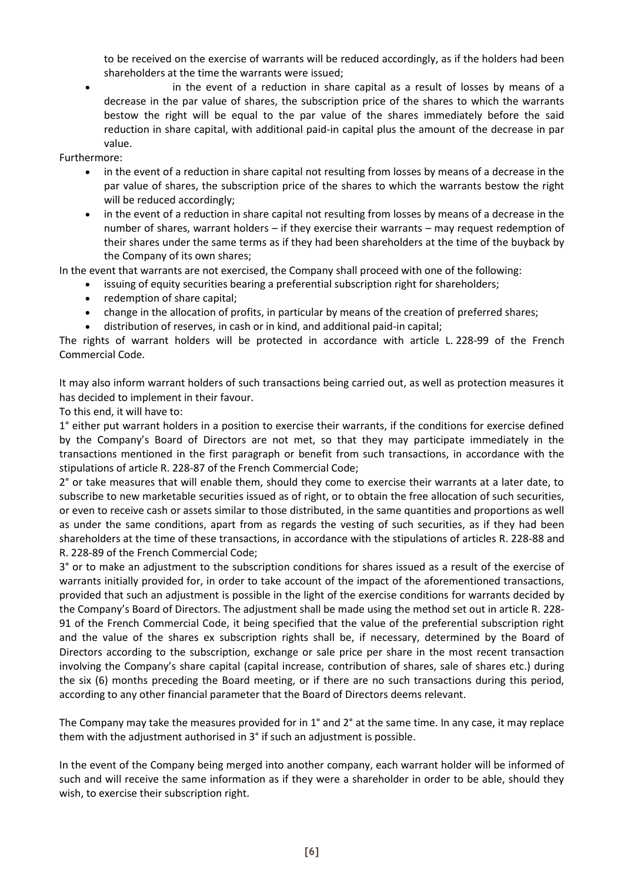to be received on the exercise of warrants will be reduced accordingly, as if the holders had been shareholders at the time the warrants were issued;

 in the event of a reduction in share capital as a result of losses by means of a decrease in the par value of shares, the subscription price of the shares to which the warrants bestow the right will be equal to the par value of the shares immediately before the said reduction in share capital, with additional paid-in capital plus the amount of the decrease in par value.

Furthermore:

- in the event of a reduction in share capital not resulting from losses by means of a decrease in the par value of shares, the subscription price of the shares to which the warrants bestow the right will be reduced accordingly;
- in the event of a reduction in share capital not resulting from losses by means of a decrease in the number of shares, warrant holders – if they exercise their warrants – may request redemption of their shares under the same terms as if they had been shareholders at the time of the buyback by the Company of its own shares;

In the event that warrants are not exercised, the Company shall proceed with one of the following:

- issuing of equity securities bearing a preferential subscription right for shareholders;
- redemption of share capital;
- change in the allocation of profits, in particular by means of the creation of preferred shares;
- distribution of reserves, in cash or in kind, and additional paid-in capital;

The rights of warrant holders will be protected in accordance with article L. 228-99 of the French Commercial Code.

It may also inform warrant holders of such transactions being carried out, as well as protection measures it has decided to implement in their favour.

To this end, it will have to:

1° either put warrant holders in a position to exercise their warrants, if the conditions for exercise defined by the Company's Board of Directors are not met, so that they may participate immediately in the transactions mentioned in the first paragraph or benefit from such transactions, in accordance with the stipulations of article R. 228-87 of the French Commercial Code;

2° or take measures that will enable them, should they come to exercise their warrants at a later date, to subscribe to new marketable securities issued as of right, or to obtain the free allocation of such securities, or even to receive cash or assets similar to those distributed, in the same quantities and proportions as well as under the same conditions, apart from as regards the vesting of such securities, as if they had been shareholders at the time of these transactions, in accordance with the stipulations of articles R. 228-88 and R. 228-89 of the French Commercial Code;

3° or to make an adjustment to the subscription conditions for shares issued as a result of the exercise of warrants initially provided for, in order to take account of the impact of the aforementioned transactions, provided that such an adjustment is possible in the light of the exercise conditions for warrants decided by the Company's Board of Directors. The adjustment shall be made using the method set out in article R. 228- 91 of the French Commercial Code, it being specified that the value of the preferential subscription right and the value of the shares ex subscription rights shall be, if necessary, determined by the Board of Directors according to the subscription, exchange or sale price per share in the most recent transaction involving the Company's share capital (capital increase, contribution of shares, sale of shares etc.) during the six (6) months preceding the Board meeting, or if there are no such transactions during this period, according to any other financial parameter that the Board of Directors deems relevant.

The Company may take the measures provided for in 1° and 2° at the same time. In any case, it may replace them with the adjustment authorised in 3° if such an adjustment is possible.

In the event of the Company being merged into another company, each warrant holder will be informed of such and will receive the same information as if they were a shareholder in order to be able, should they wish, to exercise their subscription right.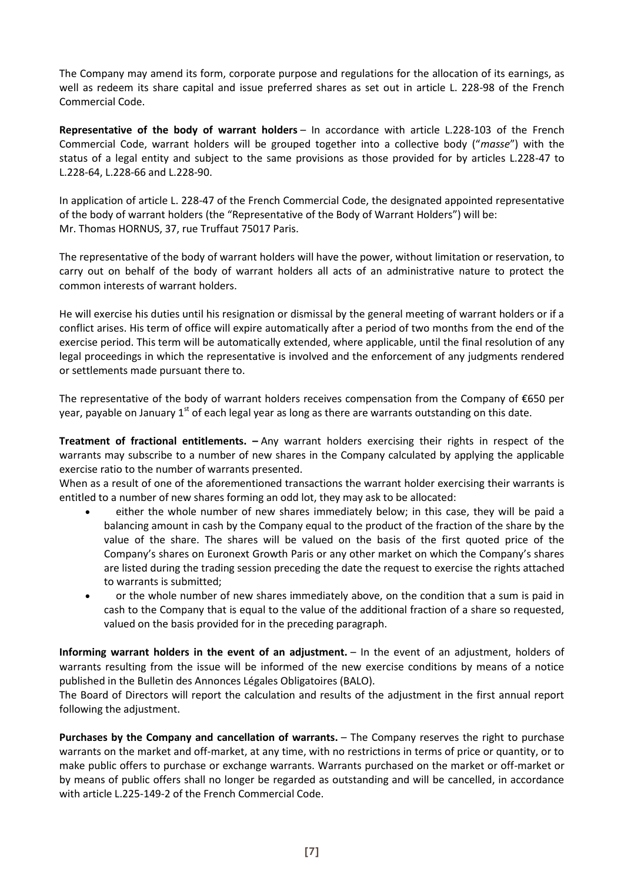The Company may amend its form, corporate purpose and regulations for the allocation of its earnings, as well as redeem its share capital and issue preferred shares as set out in article L. 228-98 of the French Commercial Code.

**Representative of the body of warrant holders** – In accordance with article L.228-103 of the French Commercial Code, warrant holders will be grouped together into a collective body ("*masse*") with the status of a legal entity and subject to the same provisions as those provided for by articles L.228-47 to L.228-64, L.228-66 and L.228-90.

In application of article L. 228-47 of the French Commercial Code, the designated appointed representative of the body of warrant holders (the "Representative of the Body of Warrant Holders") will be: Mr. Thomas HORNUS, 37, rue Truffaut 75017 Paris.

The representative of the body of warrant holders will have the power, without limitation or reservation, to carry out on behalf of the body of warrant holders all acts of an administrative nature to protect the common interests of warrant holders.

He will exercise his duties until his resignation or dismissal by the general meeting of warrant holders or if a conflict arises. His term of office will expire automatically after a period of two months from the end of the exercise period. This term will be automatically extended, where applicable, until the final resolution of any legal proceedings in which the representative is involved and the enforcement of any judgments rendered or settlements made pursuant there to.

The representative of the body of warrant holders receives compensation from the Company of €650 per year, payable on January  $1<sup>st</sup>$  of each legal year as long as there are warrants outstanding on this date.

**Treatment of fractional entitlements. –** Any warrant holders exercising their rights in respect of the warrants may subscribe to a number of new shares in the Company calculated by applying the applicable exercise ratio to the number of warrants presented.

When as a result of one of the aforementioned transactions the warrant holder exercising their warrants is entitled to a number of new shares forming an odd lot, they may ask to be allocated:

- either the whole number of new shares immediately below; in this case, they will be paid a balancing amount in cash by the Company equal to the product of the fraction of the share by the value of the share. The shares will be valued on the basis of the first quoted price of the Company's shares on Euronext Growth Paris or any other market on which the Company's shares are listed during the trading session preceding the date the request to exercise the rights attached to warrants is submitted;
- or the whole number of new shares immediately above, on the condition that a sum is paid in cash to the Company that is equal to the value of the additional fraction of a share so requested, valued on the basis provided for in the preceding paragraph.

**Informing warrant holders in the event of an adjustment.** – In the event of an adjustment, holders of warrants resulting from the issue will be informed of the new exercise conditions by means of a notice published in the Bulletin des Annonces Légales Obligatoires (BALO).

The Board of Directors will report the calculation and results of the adjustment in the first annual report following the adjustment.

**Purchases by the Company and cancellation of warrants.** – The Company reserves the right to purchase warrants on the market and off-market, at any time, with no restrictions in terms of price or quantity, or to make public offers to purchase or exchange warrants. Warrants purchased on the market or off-market or by means of public offers shall no longer be regarded as outstanding and will be cancelled, in accordance with article L.225-149-2 of the French Commercial Code.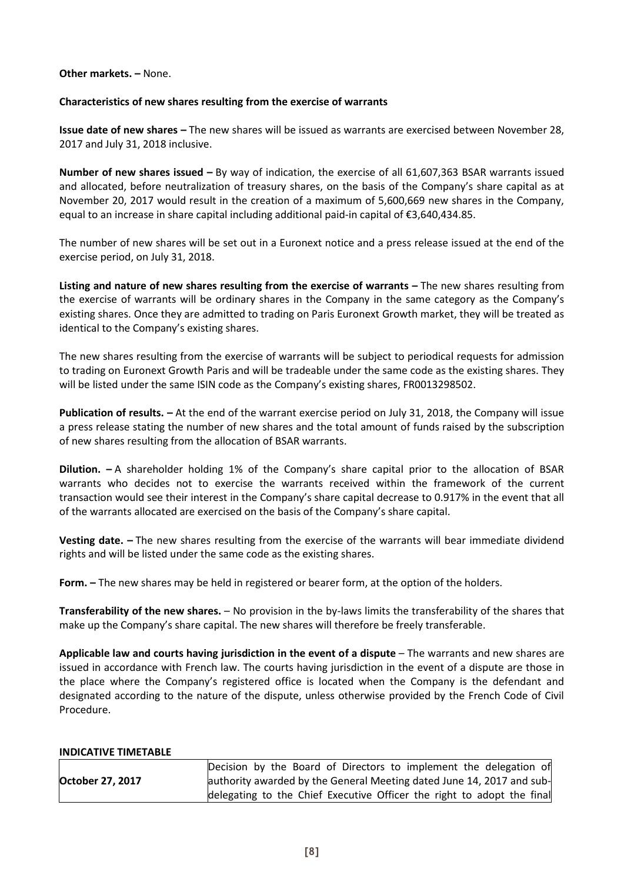### **Other markets. –** None.

### **Characteristics of new shares resulting from the exercise of warrants**

**Issue date of new shares –** The new shares will be issued as warrants are exercised between November 28, 2017 and July 31, 2018 inclusive.

**Number of new shares issued –** By way of indication, the exercise of all 61,607,363 BSAR warrants issued and allocated, before neutralization of treasury shares, on the basis of the Company's share capital as at November 20, 2017 would result in the creation of a maximum of 5,600,669 new shares in the Company, equal to an increase in share capital including additional paid-in capital of €3,640,434.85.

The number of new shares will be set out in a Euronext notice and a press release issued at the end of the exercise period, on July 31, 2018.

**Listing and nature of new shares resulting from the exercise of warrants – The new shares resulting from** the exercise of warrants will be ordinary shares in the Company in the same category as the Company's existing shares. Once they are admitted to trading on Paris Euronext Growth market, they will be treated as identical to the Company's existing shares.

The new shares resulting from the exercise of warrants will be subject to periodical requests for admission to trading on Euronext Growth Paris and will be tradeable under the same code as the existing shares. They will be listed under the same ISIN code as the Company's existing shares, FR0013298502.

**Publication of results. –** At the end of the warrant exercise period on July 31, 2018, the Company will issue a press release stating the number of new shares and the total amount of funds raised by the subscription of new shares resulting from the allocation of BSAR warrants.

**Dilution. –** A shareholder holding 1% of the Company's share capital prior to the allocation of BSAR warrants who decides not to exercise the warrants received within the framework of the current transaction would see their interest in the Company's share capital decrease to 0.917% in the event that all of the warrants allocated are exercised on the basis of the Company's share capital.

**Vesting date. –** The new shares resulting from the exercise of the warrants will bear immediate dividend rights and will be listed under the same code as the existing shares.

**Form. –** The new shares may be held in registered or bearer form, at the option of the holders.

**Transferability of the new shares.** – No provision in the by-laws limits the transferability of the shares that make up the Company's share capital. The new shares will therefore be freely transferable.

**Applicable law and courts having jurisdiction in the event of a dispute** – The warrants and new shares are issued in accordance with French law. The courts having jurisdiction in the event of a dispute are those in the place where the Company's registered office is located when the Company is the defendant and designated according to the nature of the dispute, unless otherwise provided by the French Code of Civil Procedure.

#### **INDICATIVE TIMETABLE**

|                  | Decision by the Board of Directors to implement the delegation of      |  |  |  |  |  |  |
|------------------|------------------------------------------------------------------------|--|--|--|--|--|--|
| October 27, 2017 | authority awarded by the General Meeting dated June 14, 2017 and sub-  |  |  |  |  |  |  |
|                  | delegating to the Chief Executive Officer the right to adopt the final |  |  |  |  |  |  |